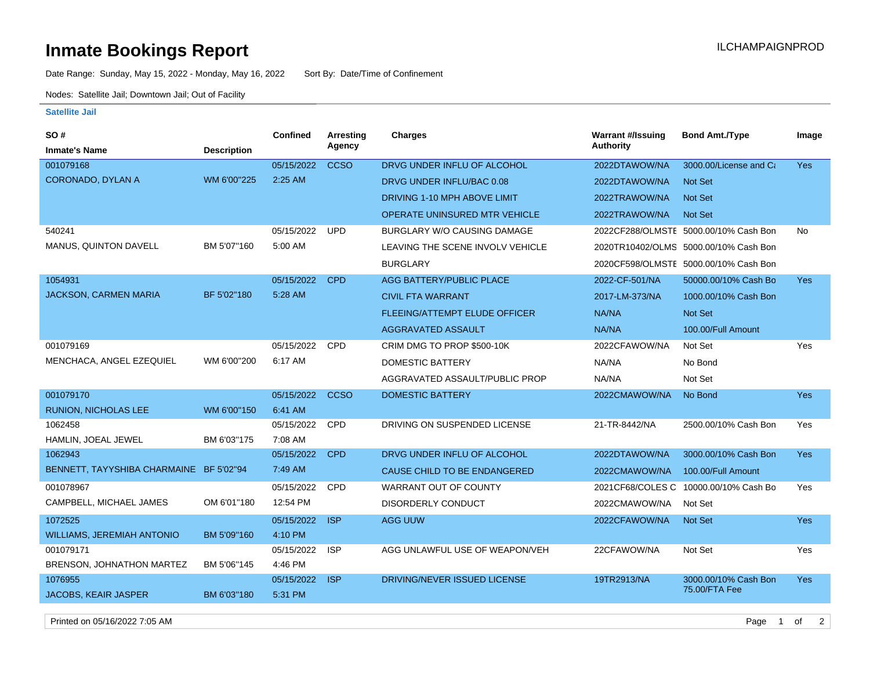## **Inmate Bookings Report Installation ILCHAMPAIGNPROD**

Date Range: Sunday, May 15, 2022 - Monday, May 16, 2022 Sort By: Date/Time of Confinement

Nodes: Satellite Jail; Downtown Jail; Out of Facility

## **Satellite Jail**

| SO#                                     |                    | Confined   | Arresting   | Charges                              | <b>Warrant #/Issuing</b> | <b>Bond Amt./Type</b>                 | Image      |
|-----------------------------------------|--------------------|------------|-------------|--------------------------------------|--------------------------|---------------------------------------|------------|
| <b>Inmate's Name</b>                    | <b>Description</b> |            | Agency      |                                      | Authority                |                                       |            |
| 001079168                               |                    | 05/15/2022 | <b>CCSO</b> | DRVG UNDER INFLU OF ALCOHOL          | 2022DTAWOW/NA            | 3000.00/License and Ca                | <b>Yes</b> |
| <b>CORONADO, DYLAN A</b>                | WM 6'00"225        | 2:25 AM    |             | DRVG UNDER INFLU/BAC 0.08            | 2022DTAWOW/NA            | Not Set                               |            |
|                                         |                    |            |             | DRIVING 1-10 MPH ABOVE LIMIT         | 2022TRAWOW/NA            | Not Set                               |            |
|                                         |                    |            |             | <b>OPERATE UNINSURED MTR VEHICLE</b> | 2022TRAWOW/NA            | <b>Not Set</b>                        |            |
| 540241                                  |                    | 05/15/2022 | <b>UPD</b>  | BURGLARY W/O CAUSING DAMAGE          |                          | 2022CF288/OLMSTE 5000.00/10% Cash Bon | <b>No</b>  |
| MANUS, QUINTON DAVELL                   | BM 5'07"160        | 5:00 AM    |             | LEAVING THE SCENE INVOLV VEHICLE     |                          | 2020TR10402/OLMS 5000.00/10% Cash Bon |            |
|                                         |                    |            |             | <b>BURGLARY</b>                      |                          | 2020CF598/OLMSTE 5000.00/10% Cash Bon |            |
| 1054931                                 |                    | 05/15/2022 | <b>CPD</b>  | AGG BATTERY/PUBLIC PLACE             | 2022-CF-501/NA           | 50000.00/10% Cash Bo                  | <b>Yes</b> |
| <b>JACKSON, CARMEN MARIA</b>            | BF 5'02"180        | 5:28 AM    |             | <b>CIVIL FTA WARRANT</b>             | 2017-LM-373/NA           | 1000.00/10% Cash Bon                  |            |
|                                         |                    |            |             | <b>FLEEING/ATTEMPT ELUDE OFFICER</b> | NA/NA                    | Not Set                               |            |
|                                         |                    |            |             | AGGRAVATED ASSAULT                   | NA/NA                    | 100.00/Full Amount                    |            |
| 001079169                               |                    | 05/15/2022 | <b>CPD</b>  | CRIM DMG TO PROP \$500-10K           | 2022CFAWOW/NA            | Not Set                               | Yes        |
| MENCHACA, ANGEL EZEQUIEL                | WM 6'00"200        | 6:17 AM    |             | DOMESTIC BATTERY                     | NA/NA                    | No Bond                               |            |
|                                         |                    |            |             | AGGRAVATED ASSAULT/PUBLIC PROP       | NA/NA                    | Not Set                               |            |
| 001079170                               |                    | 05/15/2022 | <b>CCSO</b> | <b>DOMESTIC BATTERY</b>              | 2022CMAWOW/NA            | No Bond                               | <b>Yes</b> |
| RUNION, NICHOLAS LEE                    | WM 6'00"150        | 6:41 AM    |             |                                      |                          |                                       |            |
| 1062458                                 |                    | 05/15/2022 | <b>CPD</b>  | DRIVING ON SUSPENDED LICENSE         | 21-TR-8442/NA            | 2500.00/10% Cash Bon                  | Yes        |
| HAMLIN, JOEAL JEWEL                     | BM 6'03"175        | 7:08 AM    |             |                                      |                          |                                       |            |
| 1062943                                 |                    | 05/15/2022 | <b>CPD</b>  | DRVG UNDER INFLU OF ALCOHOL          | 2022DTAWOW/NA            | 3000.00/10% Cash Bon                  | <b>Yes</b> |
| BENNETT, TAYYSHIBA CHARMAINE BF 5'02"94 |                    | 7:49 AM    |             | CAUSE CHILD TO BE ENDANGERED         | 2022CMAWOW/NA            | 100.00/Full Amount                    |            |
| 001078967                               |                    | 05/15/2022 | <b>CPD</b>  | WARRANT OUT OF COUNTY                | 2021CF68/COLES C         | 10000.00/10% Cash Bo                  | Yes        |
| CAMPBELL, MICHAEL JAMES                 | OM 6'01"180        | 12:54 PM   |             | <b>DISORDERLY CONDUCT</b>            | 2022CMAWOW/NA            | Not Set                               |            |
| 1072525                                 |                    | 05/15/2022 | <b>ISP</b>  | AGG UUW                              | 2022CFAWOW/NA            | Not Set                               | <b>Yes</b> |
| <b>WILLIAMS, JEREMIAH ANTONIO</b>       | BM 5'09"160        | 4:10 PM    |             |                                      |                          |                                       |            |
| 001079171                               |                    | 05/15/2022 | <b>ISP</b>  | AGG UNLAWFUL USE OF WEAPON/VEH       | 22CFAWOW/NA              | Not Set                               | Yes        |
| BRENSON, JOHNATHON MARTEZ               | BM 5'06"145        | 4:46 PM    |             |                                      |                          |                                       |            |
| 1076955                                 |                    | 05/15/2022 | <b>ISP</b>  | DRIVING/NEVER ISSUED LICENSE         | 19TR2913/NA              | 3000.00/10% Cash Bon<br>75.00/FTA Fee | <b>Yes</b> |
| <b>JACOBS, KEAIR JASPER</b>             | BM 6'03"180        | 5:31 PM    |             |                                      |                          |                                       |            |
|                                         |                    |            |             |                                      |                          |                                       |            |

Printed on 05/16/2022 7:05 AM Page 1 of 2